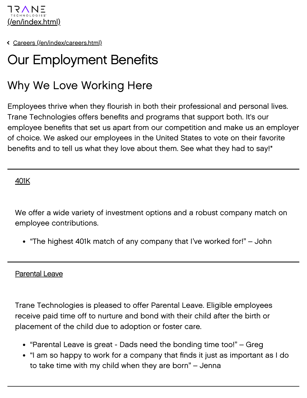

[Careers \(/en/index/careers.html\)](https://www.tranetechnologies.com/en/index/careers.html)

# Our Employment Benefits

# Why We Love Working Here

Employees thrive when they flourish in both their professional and personal lives. Trane Technologies offers benefits and programs that support both. It's our employee benefits that set us apart from our competition and make us an employer of choice. We asked our employees in the United States to vote on their favorite benefits and to tell us what they love about them. See what they had to say!\*

401K

We offer a wide variety of investment options and a robust company match on employee contributions.

"The highest 401k match of any company that I've worked for!" – John

#### Parental Leave

Trane Technologies is pleased to offer Parental Leave. Eligible employees receive paid time off to nurture and bond with their child after the birth or placement of the child due to adoption or foster care.

- "Parental Leave is great Dads need the bonding time too!" Greg
- "I am so happy to work for a company that finds it just as important as I do to take time with my child when they are born" – Jenna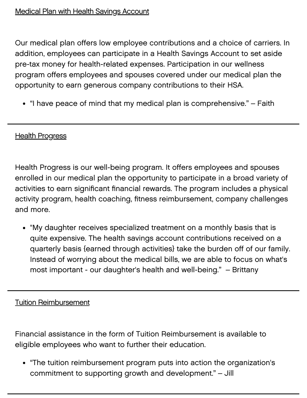Our medical plan offers low employee contributions and a choice of carriers. In addition, employees can participate in a Health Savings Account to set aside pre-tax money for health-related expenses. Participation in our wellness program offers employees and spouses covered under our medical plan the opportunity to earn generous company contributions to their HSA.

"I have peace of mind that my medical plan is comprehensive." – Faith

### **Health Progress**

Health Progress is our well-being program. It offers employees and spouses enrolled in our medical plan the opportunity to participate in a broad variety of activities to earn significant financial rewards. The program includes a physical activity program, health coaching, fitness reimbursement, company challenges and more.

"My daughter receives specialized treatment on a monthly basis that is quite expensive. The health savings account contributions received on a quarterly basis {earned through activities} take the burden off of our family. Instead of worrying about the medical bills, we are able to focus on what's most important - our daughter's health and well-being." – Brittany

Tuition Reimbursement

Financial assistance in the form of Tuition Reimbursement is available to eligible employees who want to further their education.

"The tuition reimbursement program puts into action the organization's commitment to supporting growth and development." – Jill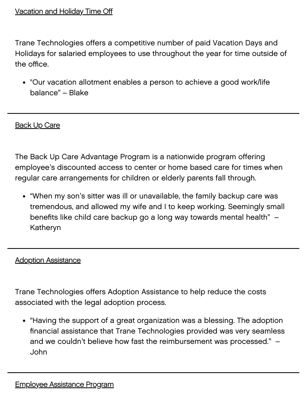#### Vacation and Holiday Time Off

Trane Technologies offers a competitive number of paid Vacation Days and Holidays for salaried employees to use throughout the year for time outside of the office.

"Our vacation allotment enables a person to achieve a good work/life balance" – Blake

#### **Back Up Care**

The Back Up Care Advantage Program is a nationwide program offering employee's discounted access to center or home based care for times when regular care arrangements for children or elderly parents fall through.

"When my son's sitter was ill or unavailable, the family backup care was tremendous, and allowed my wife and I to keep working. Seemingly small benefits like child care backup go a long way towards mental health" – Katheryn

#### Adoption Assistance

Trane Technologies offers Adoption Assistance to help reduce the costs associated with the legal adoption process.

"Having the support of a great organization was a blessing. The adoption financial assistance that Trane Technologies provided was very seamless and we couldn't believe how fast the reimbursement was processed." – John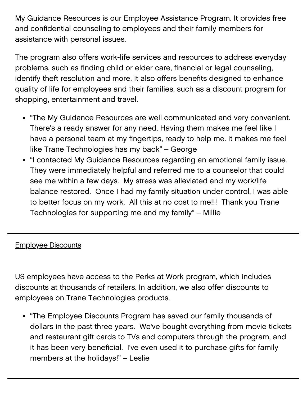My Guidance Resources is our Employee Assistance Program. It provides free and confidential counseling to employees and their family members for assistance with personal issues.

The program also offers work-life services and resources to address everyday problems, such as finding child or elder care, financial or legal counseling, identify theft resolution and more. It also offers benefits designed to enhance quality of life for employees and their families, such as a discount program for shopping, entertainment and travel.

- "The My Guidance Resources are well communicated and very convenient. There's a ready answer for any need. Having them makes me feel like I have a personal team at my fingertips, ready to help me. It makes me feel like Trane Technologies has my back" – George
- "I contacted My Guidance Resources regarding an emotional family issue. They were immediately helpful and referred me to a counselor that could see me within a few days. My stress was alleviated and my work/life balance restored. Once I had my family situation under control, I was able to better focus on my work. All this at no cost to me!!! Thank you Trane Technologies for supporting me and my family" – Millie

# Employee Discounts

US employees have access to the Perks at Work program, which includes discounts at thousands of retailers. In addition, we also offer discounts to employees on Trane Technologies products.

• "The Employee Discounts Program has saved our family thousands of dollars in the past three years. We've bought everything from movie tickets and restaurant gift cards to TVs and computers through the program, and it has been very beneficial. I've even used it to purchase gifts for family members at the holidays!" – Leslie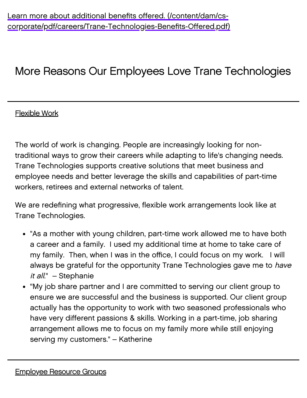# More Reasons Our Employees Love Trane Technologies

# Flexible Work

The world of work is changing. People are increasingly looking for nontraditional ways to grow their careers while adapting to life's changing needs. Trane Technologies supports creative solutions that meet business and employee needs and better leverage the skills and capabilities of part-time workers, retirees and external networks of talent.

We are redefining what progressive, flexible work arrangements look like at Trane Technologies.

- "As a mother with young children, part-time work allowed me to have both a career and a family. I used my additional time at home to take care of my family. Then, when I was in the office, I could focus on my work. I will always be grateful for the opportunity Trane Technologies gave me to have it all." - Stephanie
- "My job share partner and I are committed to serving our client group to ensure we are successful and the business is supported. Our client group actually has the opportunity to work with two seasoned professionals who have very different passions & skills. Working in a part-time, job sharing arrangement allows me to focus on my family more while still enjoying serving my customers." – Katherine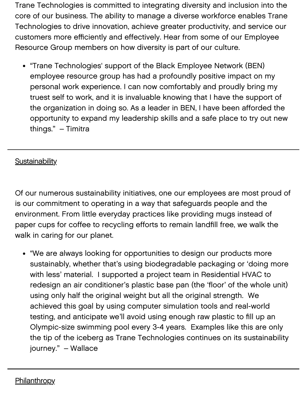Trane Technologies is committed to integrating diversity and inclusion into the core of our business. The ability to manage a diverse workforce enables Trane Technologies to drive innovation, achieve greater productivity, and service our customers more efficiently and effectively. Hear from some of our Employee Resource Group members on how diversity is part of our culture.

"Trane Technologies' support of the Black Employee Network (BEN) employee resource group has had a profoundly positive impact on my personal work experience. I can now comfortably and proudly bring my truest self to work, and it is invaluable knowing that I have the support of the organization in doing so. As a leader in BEN, I have been afforded the opportunity to expand my leadership skills and a safe place to try out new things." – Timitra

# **Sustainability**

Of our numerous sustainability initiatives, one our employees are most proud of is our commitment to operating in a way that safeguards people and the environment. From little everyday practices like providing mugs instead of paper cups for coffee to recycling efforts to remain landfill free, we walk the walk in caring for our planet.

"We are always looking for opportunities to design our products more sustainably, whether that's using biodegradable packaging or 'doing more with less' material. I supported a project team in Residential HVAC to redesign an air conditioner's plastic base pan (the 'floor' of the whole unit) using only half the original weight but all the original strength. We achieved this goal by using computer simulation tools and real-world testing, and anticipate we'll avoid using enough raw plastic to fill up an Olympic-size swimming pool every 3-4 years. Examples like this are only the tip of the iceberg as Trane Technologies continues on its sustainability journey." – Wallace